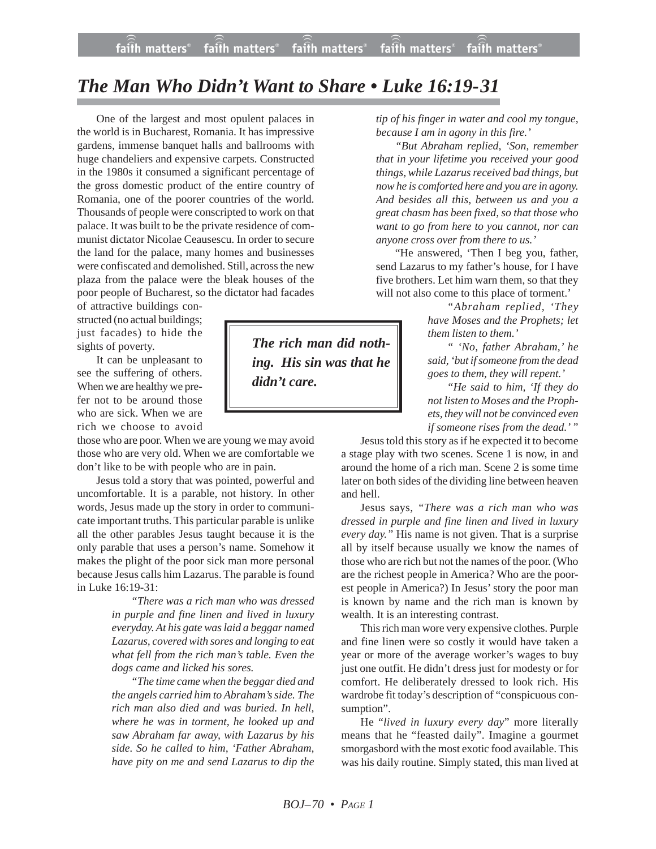## *The Man Who Didn't Want to Share • Luke 16:19-31*

One of the largest and most opulent palaces in the world is in Bucharest, Romania. It has impressive gardens, immense banquet halls and ballrooms with huge chandeliers and expensive carpets. Constructed in the 1980s it consumed a significant percentage of the gross domestic product of the entire country of Romania, one of the poorer countries of the world. Thousands of people were conscripted to work on that palace. It was built to be the private residence of communist dictator Nicolae Ceausescu. In order to secure the land for the palace, many homes and businesses were confiscated and demolished. Still, across the new plaza from the palace were the bleak houses of the poor people of Bucharest, so the dictator had facades

of attractive buildings constructed (no actual buildings; just facades) to hide the sights of poverty.

It can be unpleasant to see the suffering of others. When we are healthy we prefer not to be around those who are sick. When we are rich we choose to avoid

those who are poor. When we are young we may avoid those who are very old. When we are comfortable we don't like to be with people who are in pain.

Jesus told a story that was pointed, powerful and uncomfortable. It is a parable, not history. In other words, Jesus made up the story in order to communicate important truths. This particular parable is unlike all the other parables Jesus taught because it is the only parable that uses a person's name. Somehow it makes the plight of the poor sick man more personal because Jesus calls him Lazarus. The parable is found in Luke 16:19-31:

> *"There was a rich man who was dressed in purple and fine linen and lived in luxury everyday. At his gate was laid a beggar named Lazarus, covered with sores and longing to eat what fell from the rich man's table. Even the dogs came and licked his sores.*

> *"The time came when the beggar died and the angels carried him to Abraham's side. The rich man also died and was buried. In hell, where he was in torment, he looked up and saw Abraham far away, with Lazarus by his side. So he called to him, 'Father Abraham, have pity on me and send Lazarus to dip the*

*tip of his finger in water and cool my tongue, because I am in agony in this fire.'*

*"But Abraham replied, 'Son, remember that in your lifetime you received your good things, while Lazarus received bad things, but now he is comforted here and you are in agony. And besides all this, between us and you a great chasm has been fixed, so that those who want to go from here to you cannot, nor can anyone cross over from there to us.'*

"He answered, 'Then I beg you, father, send Lazarus to my father's house, for I have five brothers. Let him warn them, so that they will not also come to this place of torment.'

> *"Abraham replied, 'They have Moses and the Prophets; let them listen to them.'*

> *" 'No, father Abraham,' he said, 'but if someone from the dead goes to them, they will repent.'*

> *"He said to him, 'If they do not listen to Moses and the Prophets, they will not be convinced even if someone rises from the dead.' "*

Jesus told this story as if he expected it to become a stage play with two scenes. Scene 1 is now, in and around the home of a rich man. Scene 2 is some time later on both sides of the dividing line between heaven and hell.

Jesus says, *"There was a rich man who was dressed in purple and fine linen and lived in luxury every day."* His name is not given. That is a surprise all by itself because usually we know the names of those who are rich but not the names of the poor. (Who are the richest people in America? Who are the poorest people in America?) In Jesus' story the poor man is known by name and the rich man is known by wealth. It is an interesting contrast.

This rich man wore very expensive clothes. Purple and fine linen were so costly it would have taken a year or more of the average worker's wages to buy just one outfit. He didn't dress just for modesty or for comfort. He deliberately dressed to look rich. His wardrobe fit today's description of "conspicuous consumption".

He "*lived in luxury every day*" more literally means that he "feasted daily". Imagine a gourmet smorgasbord with the most exotic food available. This was his daily routine. Simply stated, this man lived at

*The rich man did nothing. His sin was that he didn't care.*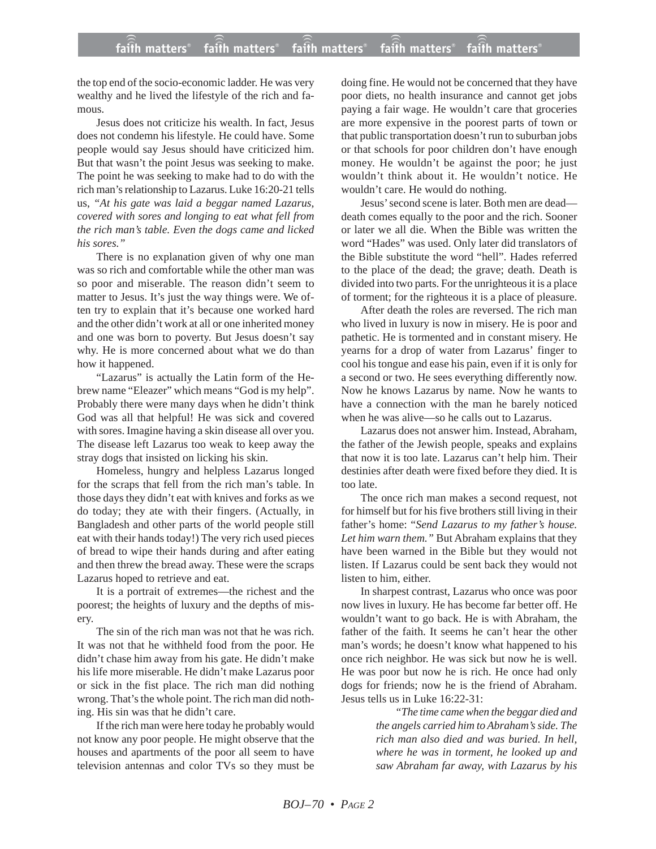the top end of the socio-economic ladder. He was very wealthy and he lived the lifestyle of the rich and famous.

Jesus does not criticize his wealth. In fact, Jesus does not condemn his lifestyle. He could have. Some people would say Jesus should have criticized him. But that wasn't the point Jesus was seeking to make. The point he was seeking to make had to do with the rich man's relationship to Lazarus. Luke 16:20-21 tells us, *"At his gate was laid a beggar named Lazarus, covered with sores and longing to eat what fell from the rich man's table. Even the dogs came and licked his sores."*

There is no explanation given of why one man was so rich and comfortable while the other man was so poor and miserable. The reason didn't seem to matter to Jesus. It's just the way things were. We often try to explain that it's because one worked hard and the other didn't work at all or one inherited money and one was born to poverty. But Jesus doesn't say why. He is more concerned about what we do than how it happened.

"Lazarus" is actually the Latin form of the Hebrew name "Eleazer" which means "God is my help". Probably there were many days when he didn't think God was all that helpful! He was sick and covered with sores. Imagine having a skin disease all over you. The disease left Lazarus too weak to keep away the stray dogs that insisted on licking his skin.

Homeless, hungry and helpless Lazarus longed for the scraps that fell from the rich man's table. In those days they didn't eat with knives and forks as we do today; they ate with their fingers. (Actually, in Bangladesh and other parts of the world people still eat with their hands today!) The very rich used pieces of bread to wipe their hands during and after eating and then threw the bread away. These were the scraps Lazarus hoped to retrieve and eat.

It is a portrait of extremes—the richest and the poorest; the heights of luxury and the depths of misery.

The sin of the rich man was not that he was rich. It was not that he withheld food from the poor. He didn't chase him away from his gate. He didn't make his life more miserable. He didn't make Lazarus poor or sick in the fist place. The rich man did nothing wrong. That's the whole point. The rich man did nothing. His sin was that he didn't care.

If the rich man were here today he probably would not know any poor people. He might observe that the houses and apartments of the poor all seem to have television antennas and color TVs so they must be doing fine. He would not be concerned that they have poor diets, no health insurance and cannot get jobs paying a fair wage. He wouldn't care that groceries are more expensive in the poorest parts of town or that public transportation doesn't run to suburban jobs or that schools for poor children don't have enough money. He wouldn't be against the poor; he just wouldn't think about it. He wouldn't notice. He wouldn't care. He would do nothing.

Jesus' second scene is later. Both men are dead death comes equally to the poor and the rich. Sooner or later we all die. When the Bible was written the word "Hades" was used. Only later did translators of the Bible substitute the word "hell". Hades referred to the place of the dead; the grave; death. Death is divided into two parts. For the unrighteous it is a place of torment; for the righteous it is a place of pleasure.

After death the roles are reversed. The rich man who lived in luxury is now in misery. He is poor and pathetic. He is tormented and in constant misery. He yearns for a drop of water from Lazarus' finger to cool his tongue and ease his pain, even if it is only for a second or two. He sees everything differently now. Now he knows Lazarus by name. Now he wants to have a connection with the man he barely noticed when he was alive—so he calls out to Lazarus.

Lazarus does not answer him. Instead, Abraham, the father of the Jewish people, speaks and explains that now it is too late. Lazarus can't help him. Their destinies after death were fixed before they died. It is too late.

The once rich man makes a second request, not for himself but for his five brothers still living in their father's home: "*Send Lazarus to my father's house. Let him warn them."* But Abraham explains that they have been warned in the Bible but they would not listen. If Lazarus could be sent back they would not listen to him, either.

In sharpest contrast, Lazarus who once was poor now lives in luxury. He has become far better off. He wouldn't want to go back. He is with Abraham, the father of the faith. It seems he can't hear the other man's words; he doesn't know what happened to his once rich neighbor. He was sick but now he is well. He was poor but now he is rich. He once had only dogs for friends; now he is the friend of Abraham. Jesus tells us in Luke 16:22-31:

> *"The time came when the beggar died and the angels carried him to Abraham's side. The rich man also died and was buried. In hell, where he was in torment, he looked up and saw Abraham far away, with Lazarus by his*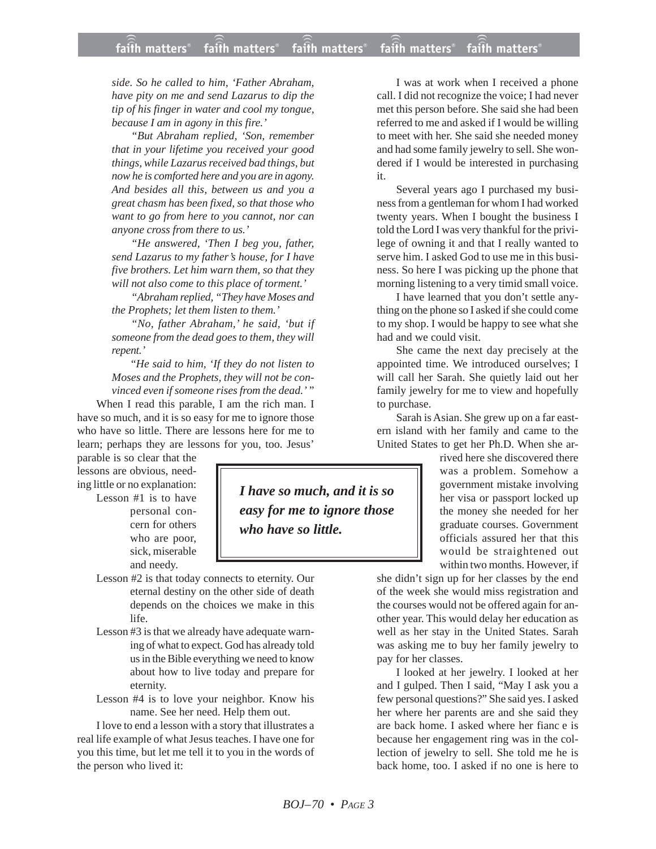*side. So he called to him, 'Father Abraham, have pity on me and send Lazarus to dip the tip of his finger in water and cool my tongue, because I am in agony in this fire.'*

*"But Abraham replied, 'Son, remember that in your lifetime you received your good things, while Lazarus received bad things, but now he is comforted here and you are in agony. And besides all this, between us and you a great chasm has been fixed, so that those who want to go from here to you cannot, nor can anyone cross from there to us.'*

*"He answered, 'Then I beg you, father, send Lazarus to my father's house, for I have five brothers. Let him warn them, so that they will not also come to this place of torment.'*

*"Abraham replied, "They have Moses and the Prophets; let them listen to them.'*

*"No, father Abraham,' he said, 'but if someone from the dead goes to them, they will repent.'*

"*He said to him, 'If they do not listen to Moses and the Prophets, they will not be convinced even if someone rises from the dead.'* "

When I read this parable, I am the rich man. I have so much, and it is so easy for me to ignore those who have so little. There are lessons here for me to learn; perhaps they are lessons for you, too. Jesus'

parable is so clear that the lessons are obvious, needing little or no explanation:

Lesson #1 is to have personal concern for others who are poor, sick, miserable and needy.

*I have so much, and it is so easy for me to ignore those who have so little.*

- Lesson #2 is that today connects to eternity. Our eternal destiny on the other side of death depends on the choices we make in this life.
- Lesson #3 is that we already have adequate warning of what to expect. God has already told us in the Bible everything we need to know about how to live today and prepare for eternity.
- Lesson #4 is to love your neighbor. Know his name. See her need. Help them out.

I love to end a lesson with a story that illustrates a real life example of what Jesus teaches. I have one for you this time, but let me tell it to you in the words of the person who lived it:

I was at work when I received a phone call. I did not recognize the voice; I had never met this person before. She said she had been referred to me and asked if I would be willing to meet with her. She said she needed money and had some family jewelry to sell. She wondered if I would be interested in purchasing it.

Several years ago I purchased my business from a gentleman for whom I had worked twenty years. When I bought the business I told the Lord I was very thankful for the privilege of owning it and that I really wanted to serve him. I asked God to use me in this business. So here I was picking up the phone that morning listening to a very timid small voice.

I have learned that you don't settle anything on the phone so I asked if she could come to my shop. I would be happy to see what she had and we could visit.

She came the next day precisely at the appointed time. We introduced ourselves; I will call her Sarah. She quietly laid out her family jewelry for me to view and hopefully to purchase.

Sarah is Asian. She grew up on a far eastern island with her family and came to the United States to get her Ph.D. When she ar-

> rived here she discovered there was a problem. Somehow a government mistake involving her visa or passport locked up the money she needed for her graduate courses. Government officials assured her that this would be straightened out within two months. However, if

she didn't sign up for her classes by the end of the week she would miss registration and the courses would not be offered again for another year. This would delay her education as well as her stay in the United States. Sarah was asking me to buy her family jewelry to pay for her classes.

I looked at her jewelry. I looked at her and I gulped. Then I said, "May I ask you a few personal questions?" She said yes. I asked her where her parents are and she said they are back home. I asked where her fianc e is because her engagement ring was in the collection of jewelry to sell. She told me he is back home, too. I asked if no one is here to